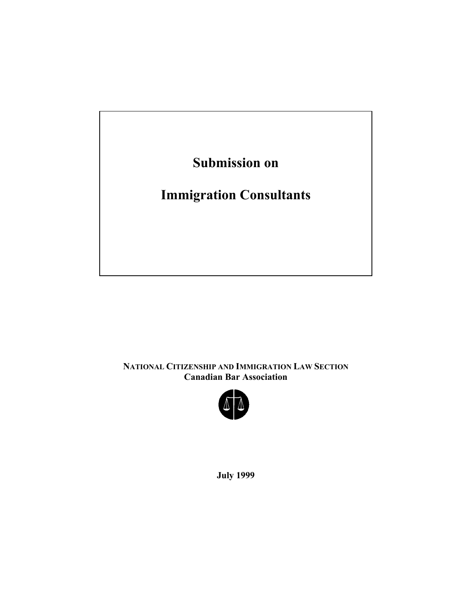

**NATIONAL CITIZENSHIP AND IMMIGRATION LAW SECTION Canadian Bar Association** 



**July 1999**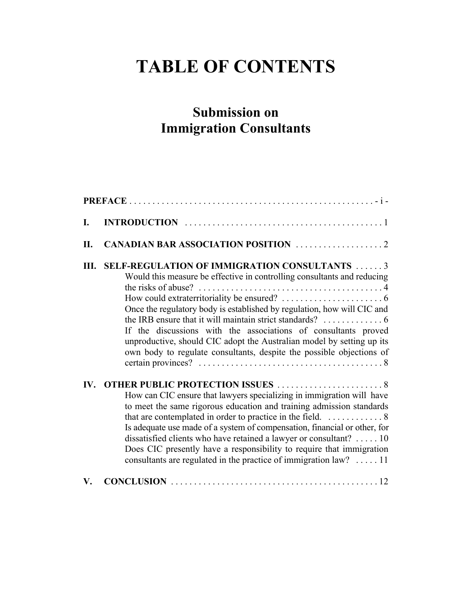# **TABLE OF CONTENTS**

## **Submission on Immigration Consultants**

| I.                    |                                                                                                                                                                                                                                                                                                                                                                                                                                                                                                                                 |
|-----------------------|---------------------------------------------------------------------------------------------------------------------------------------------------------------------------------------------------------------------------------------------------------------------------------------------------------------------------------------------------------------------------------------------------------------------------------------------------------------------------------------------------------------------------------|
| II.                   |                                                                                                                                                                                                                                                                                                                                                                                                                                                                                                                                 |
| Ш.                    | <b>SELF-REGULATION OF IMMIGRATION CONSULTANTS 3</b><br>Would this measure be effective in controlling consultants and reducing<br>the risks of abuse? $\dots \dots \dots \dots \dots \dots \dots \dots \dots \dots \dots \dots 4$<br>Once the regulatory body is established by regulation, how will CIC and<br>If the discussions with the associations of consultants proved<br>unproductive, should CIC adopt the Australian model by setting up its<br>own body to regulate consultants, despite the possible objections of |
| $\mathbf{IV}_{\cdot}$ | How can CIC ensure that lawyers specializing in immigration will have<br>to meet the same rigorous education and training admission standards<br>that are contemplated in order to practice in the field. 8<br>Is adequate use made of a system of compensation, financial or other, for<br>dissatisfied clients who have retained a lawyer or consultant?  10<br>Does CIC presently have a responsibility to require that immigration<br>consultants are regulated in the practice of immigration law? $\dots$ 11              |
| V.                    |                                                                                                                                                                                                                                                                                                                                                                                                                                                                                                                                 |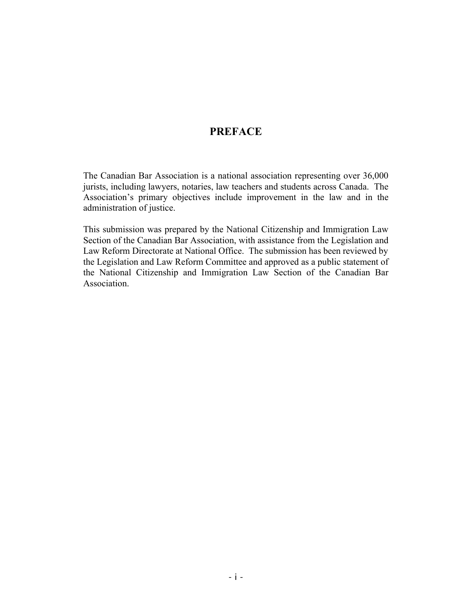#### **PREFACE**

The Canadian Bar Association is a national association representing over 36,000 jurists, including lawyers, notaries, law teachers and students across Canada. The Association's primary objectives include improvement in the law and in the administration of justice.

This submission was prepared by the National Citizenship and Immigration Law Section of the Canadian Bar Association, with assistance from the Legislation and Law Reform Directorate at National Office. The submission has been reviewed by the Legislation and Law Reform Committee and approved as a public statement of the National Citizenship and Immigration Law Section of the Canadian Bar Association.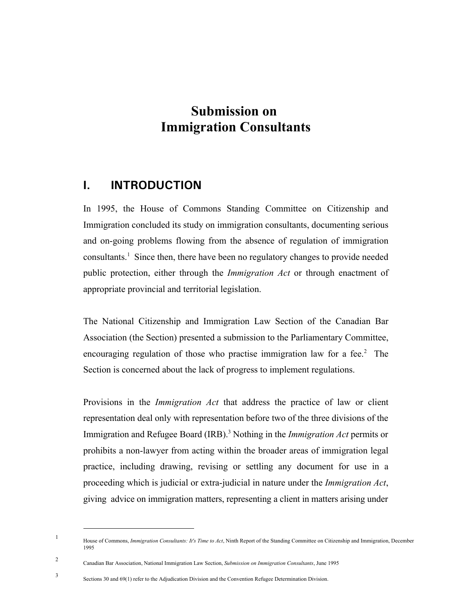## **Submission on Immigration Consultants**

### **I. INTRODUCTION**

In 1995, the House of Commons Standing Committee on Citizenship and Immigration concluded its study on immigration consultants, documenting serious and on-going problems flowing from the absence of regulation of immigration consultants.<sup>1</sup> Since then, there have been no regulatory changes to provide needed public protection, either through the *Immigration Act* or through enactment of appropriate provincial and territorial legislation.

The National Citizenship and Immigration Law Section of the Canadian Bar Association (the Section) presented a submission to the Parliamentary Committee, encouraging regulation of those who practise immigration law for a fee. $2$  The Section is concerned about the lack of progress to implement regulations.

Provisions in the *Immigration Act* that address the practice of law or client representation deal only with representation before two of the three divisions of the Immigration and Refugee Board (IRB).<sup>3</sup> Nothing in the *Immigration Act* permits or prohibits a non-lawyer from acting within the broader areas of immigration legal practice, including drawing, revising or settling any document for use in a proceeding which is judicial or extra-judicial in nature under the *Immigration Act*, giving advice on immigration matters, representing a client in matters arising under

<sup>1</sup> House of Commons, *Immigration Consultants: It's Time to Act*, Ninth Report of the Standing Committee on Citizenship and Immigration, December 1995

<sup>2</sup> Canadian Bar Association, National Immigration Law Section, *Submission on Immigration Consultants*, June 1995

<sup>3</sup> Sections 30 and 69(1) refer to the Adjudication Division and the Convention Refugee Determination Division.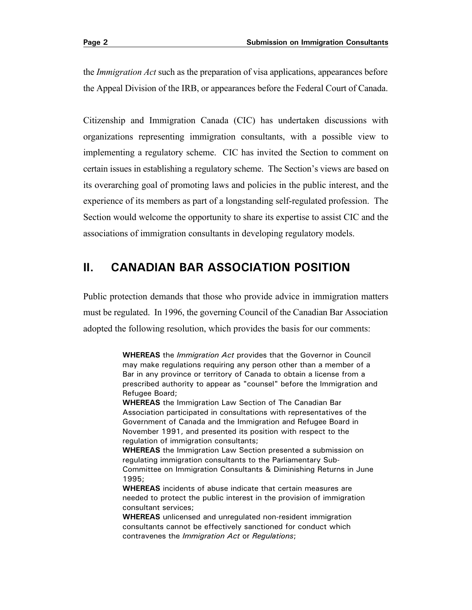the *Immigration Act* such as the preparation of visa applications, appearances before the Appeal Division of the IRB, or appearances before the Federal Court of Canada.

Citizenship and Immigration Canada (CIC) has undertaken discussions with organizations representing immigration consultants, with a possible view to implementing a regulatory scheme. CIC has invited the Section to comment on certain issues in establishing a regulatory scheme. The Section's views are based on its overarching goal of promoting laws and policies in the public interest, and the experience of its members as part of a longstanding self-regulated profession. The Section would welcome the opportunity to share its expertise to assist CIC and the associations of immigration consultants in developing regulatory models.

## **II. CANADIAN BAR ASSOCIATION POSITION**

Public protection demands that those who provide advice in immigration matters must be regulated. In 1996, the governing Council of the Canadian Bar Association adopted the following resolution, which provides the basis for our comments:

> **WHEREAS** the *Immigration Act* provides that the Governor in Council may make regulations requiring any person other than a member of a Bar in any province or territory of Canada to obtain a license from a prescribed authority to appear as "counsel" before the Immigration and Refugee Board;

**WHEREAS** the Immigration Law Section of The Canadian Bar Association participated in consultations with representatives of the Government of Canada and the Immigration and Refugee Board in November 1991, and presented its position with respect to the regulation of immigration consultants;

**WHEREAS** the Immigration Law Section presented a submission on regulating immigration consultants to the Parliamentary Sub-Committee on Immigration Consultants & Diminishing Returns in June 1995;

**WHEREAS** incidents of abuse indicate that certain measures are needed to protect the public interest in the provision of immigration consultant services;

**WHEREAS** unlicensed and unregulated non-resident immigration consultants cannot be effectively sanctioned for conduct which contravenes the *Immigration Act* or *Regulations*;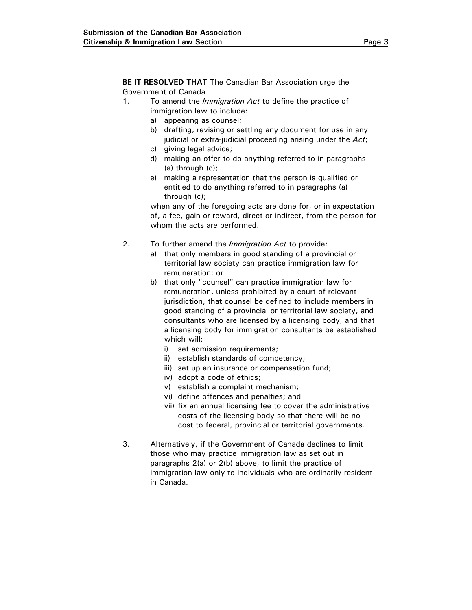**BE IT RESOLVED THAT** The Canadian Bar Association urge the Government of Canada

- 1. To amend the *Immigration Act* to define the practice of immigration law to include:
	- a) appearing as counsel;
	- b) drafting, revising or settling any document for use in any judicial or extra-judicial proceeding arising under the *Act*;
	- c) giving legal advice;
	- d) making an offer to do anything referred to in paragraphs (a) through (c);
	- e) making a representation that the person is qualified or entitled to do anything referred to in paragraphs (a) through (c);

when any of the foregoing acts are done for, or in expectation of, a fee, gain or reward, direct or indirect, from the person for whom the acts are performed.

- 2. To further amend the *Immigration Act* to provide:
	- a) that only members in good standing of a provincial or territorial law society can practice immigration law for remuneration; or
	- b) that only "counsel" can practice immigration law for remuneration, unless prohibited by a court of relevant jurisdiction, that counsel be defined to include members in good standing of a provincial or territorial law society, and consultants who are licensed by a licensing body, and that a licensing body for immigration consultants be established which will:
		- i) set admission requirements;
		- ii) establish standards of competency;
		- iii) set up an insurance or compensation fund;
		- iv) adopt a code of ethics;
		- v) establish a complaint mechanism;
		- vi) define offences and penalties; and
		- vii) fix an annual licensing fee to cover the administrative costs of the licensing body so that there will be no cost to federal, provincial or territorial governments.
- 3. Alternatively, if the Government of Canada declines to limit those who may practice immigration law as set out in paragraphs 2(a) or 2(b) above, to limit the practice of immigration law only to individuals who are ordinarily resident in Canada.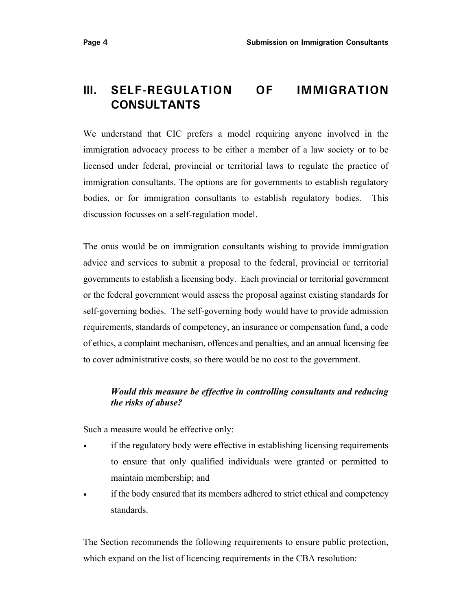## **III. SELF-REGULATION OF IMMIGRATION CONSULTANTS**

We understand that CIC prefers a model requiring anyone involved in the immigration advocacy process to be either a member of a law society or to be licensed under federal, provincial or territorial laws to regulate the practice of immigration consultants. The options are for governments to establish regulatory bodies, or for immigration consultants to establish regulatory bodies. This discussion focusses on a self-regulation model.

The onus would be on immigration consultants wishing to provide immigration advice and services to submit a proposal to the federal, provincial or territorial governments to establish a licensing body. Each provincial or territorial government or the federal government would assess the proposal against existing standards for self-governing bodies. The self-governing body would have to provide admission requirements, standards of competency, an insurance or compensation fund, a code of ethics, a complaint mechanism, offences and penalties, and an annual licensing fee to cover administrative costs, so there would be no cost to the government.

#### *Would this measure be effective in controlling consultants and reducing the risks of abuse?*

Such a measure would be effective only:

- if the regulatory body were effective in establishing licensing requirements to ensure that only qualified individuals were granted or permitted to maintain membership; and
- if the body ensured that its members adhered to strict ethical and competency standards.

The Section recommends the following requirements to ensure public protection, which expand on the list of licencing requirements in the CBA resolution: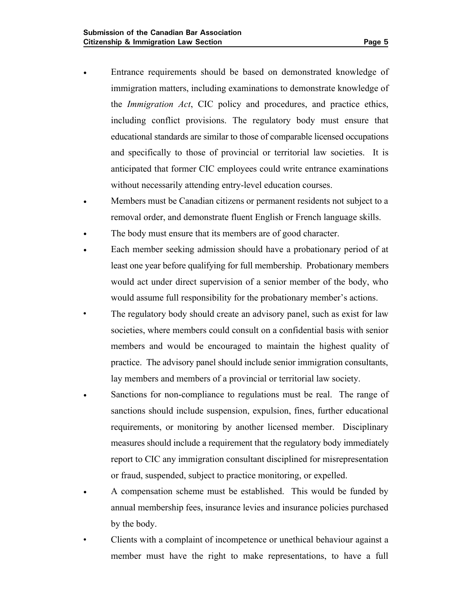- Entrance requirements should be based on demonstrated knowledge of immigration matters, including examinations to demonstrate knowledge of the *Immigration Act*, CIC policy and procedures, and practice ethics, including conflict provisions. The regulatory body must ensure that educational standards are similar to those of comparable licensed occupations and specifically to those of provincial or territorial law societies. It is anticipated that former CIC employees could write entrance examinations without necessarily attending entry-level education courses.
- Members must be Canadian citizens or permanent residents not subject to a removal order, and demonstrate fluent English or French language skills.
- The body must ensure that its members are of good character.
- Each member seeking admission should have a probationary period of at least one year before qualifying for full membership. Probationary members would act under direct supervision of a senior member of the body, who would assume full responsibility for the probationary member's actions.
- The regulatory body should create an advisory panel, such as exist for law societies, where members could consult on a confidential basis with senior members and would be encouraged to maintain the highest quality of practice. The advisory panel should include senior immigration consultants, lay members and members of a provincial or territorial law society.
- Sanctions for non-compliance to regulations must be real. The range of sanctions should include suspension, expulsion, fines, further educational requirements, or monitoring by another licensed member. Disciplinary measures should include a requirement that the regulatory body immediately report to CIC any immigration consultant disciplined for misrepresentation or fraud, suspended, subject to practice monitoring, or expelled.
- A compensation scheme must be established. This would be funded by annual membership fees, insurance levies and insurance policies purchased by the body.
- Clients with a complaint of incompetence or unethical behaviour against a member must have the right to make representations, to have a full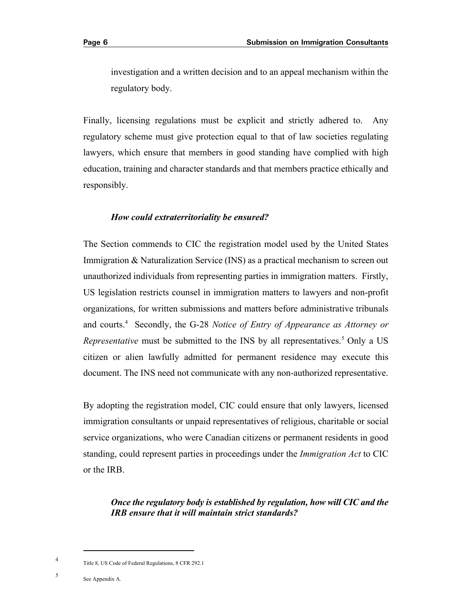investigation and a written decision and to an appeal mechanism within the regulatory body.

Finally, licensing regulations must be explicit and strictly adhered to. Any regulatory scheme must give protection equal to that of law societies regulating lawyers, which ensure that members in good standing have complied with high education, training and character standards and that members practice ethically and responsibly.

#### *How could extraterritoriality be ensured?*

The Section commends to CIC the registration model used by the United States Immigration & Naturalization Service (INS) as a practical mechanism to screen out unauthorized individuals from representing parties in immigration matters. Firstly, US legislation restricts counsel in immigration matters to lawyers and non-profit organizations, for written submissions and matters before administrative tribunals and courts.4 Secondly, the G-28 *Notice of Entry of Appearance as Attorney or Representative* must be submitted to the INS by all representatives.<sup>5</sup> Only a US citizen or alien lawfully admitted for permanent residence may execute this document. The INS need not communicate with any non-authorized representative.

By adopting the registration model, CIC could ensure that only lawyers, licensed immigration consultants or unpaid representatives of religious, charitable or social service organizations, who were Canadian citizens or permanent residents in good standing, could represent parties in proceedings under the *Immigration Act* to CIC or the IRB.

*Once the regulatory body is established by regulation, how will CIC and the IRB ensure that it will maintain strict standards?* 

<sup>4</sup> Title 8, US Code of Federal Regulations, 8 CFR 292.1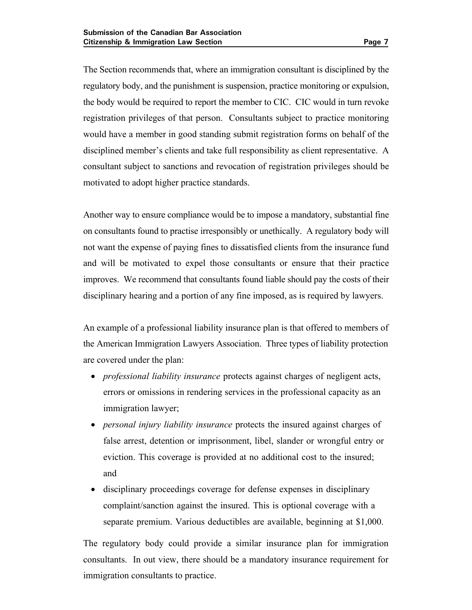The Section recommends that, where an immigration consultant is disciplined by the regulatory body, and the punishment is suspension, practice monitoring or expulsion, the body would be required to report the member to CIC. CIC would in turn revoke registration privileges of that person. Consultants subject to practice monitoring would have a member in good standing submit registration forms on behalf of the disciplined member's clients and take full responsibility as client representative. A consultant subject to sanctions and revocation of registration privileges should be motivated to adopt higher practice standards.

Another way to ensure compliance would be to impose a mandatory, substantial fine on consultants found to practise irresponsibly or unethically. A regulatory body will not want the expense of paying fines to dissatisfied clients from the insurance fund and will be motivated to expel those consultants or ensure that their practice improves. We recommend that consultants found liable should pay the costs of their disciplinary hearing and a portion of any fine imposed, as is required by lawyers.

An example of a professional liability insurance plan is that offered to members of the American Immigration Lawyers Association. Three types of liability protection are covered under the plan:

- *professional liability insurance* protects against charges of negligent acts, errors or omissions in rendering services in the professional capacity as an immigration lawyer;
- *personal injury liability insurance* protects the insured against charges of false arrest, detention or imprisonment, libel, slander or wrongful entry or eviction. This coverage is provided at no additional cost to the insured; and
- disciplinary proceedings coverage for defense expenses in disciplinary complaint/sanction against the insured. This is optional coverage with a separate premium. Various deductibles are available, beginning at \$1,000.

The regulatory body could provide a similar insurance plan for immigration consultants. In out view, there should be a mandatory insurance requirement for immigration consultants to practice.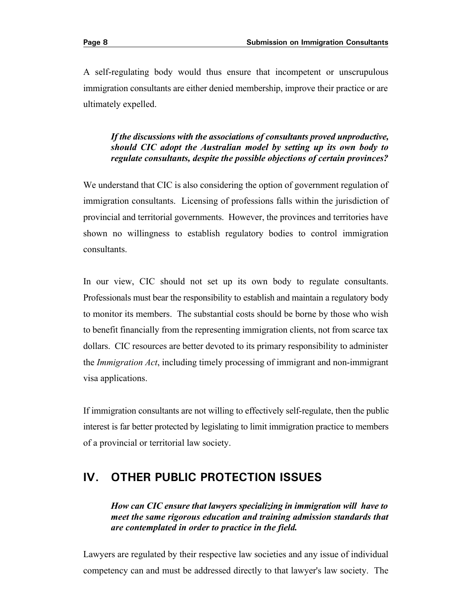A self-regulating body would thus ensure that incompetent or unscrupulous immigration consultants are either denied membership, improve their practice or are ultimately expelled.

#### *If the discussions with the associations of consultants proved unproductive, should CIC adopt the Australian model by setting up its own body to regulate consultants, despite the possible objections of certain provinces?*

We understand that CIC is also considering the option of government regulation of immigration consultants. Licensing of professions falls within the jurisdiction of provincial and territorial governments. However, the provinces and territories have shown no willingness to establish regulatory bodies to control immigration consultants.

In our view, CIC should not set up its own body to regulate consultants. Professionals must bear the responsibility to establish and maintain a regulatory body to monitor its members. The substantial costs should be borne by those who wish to benefit financially from the representing immigration clients, not from scarce tax dollars. CIC resources are better devoted to its primary responsibility to administer the *Immigration Act*, including timely processing of immigrant and non-immigrant visa applications.

If immigration consultants are not willing to effectively self-regulate, then the public interest is far better protected by legislating to limit immigration practice to members of a provincial or territorial law society.

## **IV. OTHER PUBLIC PROTECTION ISSUES**

*How can CIC ensure that lawyers specializing in immigration will have to meet the same rigorous education and training admission standards that are contemplated in order to practice in the field.* 

Lawyers are regulated by their respective law societies and any issue of individual competency can and must be addressed directly to that lawyer's law society. The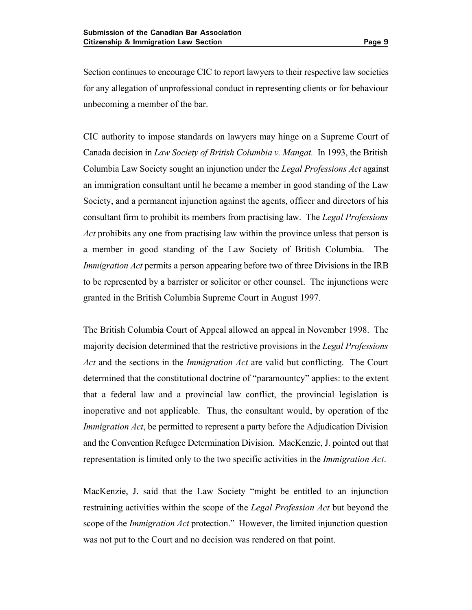Section continues to encourage CIC to report lawyers to their respective law societies for any allegation of unprofessional conduct in representing clients or for behaviour unbecoming a member of the bar.

CIC authority to impose standards on lawyers may hinge on a Supreme Court of Canada decision in *Law Society of British Columbia v. Mangat.* In 1993, the British Columbia Law Society sought an injunction under the *Legal Professions Act* against an immigration consultant until he became a member in good standing of the Law Society, and a permanent injunction against the agents, officer and directors of his consultant firm to prohibit its members from practising law. The *Legal Professions Act* prohibits any one from practising law within the province unless that person is a member in good standing of the Law Society of British Columbia. The *Immigration Act* permits a person appearing before two of three Divisions in the IRB to be represented by a barrister or solicitor or other counsel. The injunctions were granted in the British Columbia Supreme Court in August 1997.

The British Columbia Court of Appeal allowed an appeal in November 1998. The majority decision determined that the restrictive provisions in the *Legal Professions Act* and the sections in the *Immigration Act* are valid but conflicting. The Court determined that the constitutional doctrine of "paramountcy" applies: to the extent that a federal law and a provincial law conflict, the provincial legislation is inoperative and not applicable. Thus, the consultant would, by operation of the *Immigration Act*, be permitted to represent a party before the Adjudication Division and the Convention Refugee Determination Division. MacKenzie, J. pointed out that representation is limited only to the two specific activities in the *Immigration Act*.

MacKenzie, J. said that the Law Society "might be entitled to an injunction restraining activities within the scope of the *Legal Profession Act* but beyond the scope of the *Immigration Act* protection." However, the limited injunction question was not put to the Court and no decision was rendered on that point.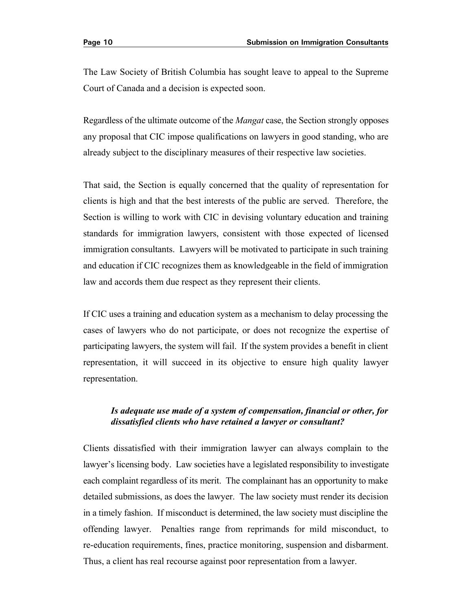The Law Society of British Columbia has sought leave to appeal to the Supreme Court of Canada and a decision is expected soon.

Regardless of the ultimate outcome of the *Mangat* case, the Section strongly opposes any proposal that CIC impose qualifications on lawyers in good standing, who are already subject to the disciplinary measures of their respective law societies.

That said, the Section is equally concerned that the quality of representation for clients is high and that the best interests of the public are served. Therefore, the Section is willing to work with CIC in devising voluntary education and training standards for immigration lawyers, consistent with those expected of licensed immigration consultants. Lawyers will be motivated to participate in such training and education if CIC recognizes them as knowledgeable in the field of immigration law and accords them due respect as they represent their clients.

If CIC uses a training and education system as a mechanism to delay processing the cases of lawyers who do not participate, or does not recognize the expertise of participating lawyers, the system will fail. If the system provides a benefit in client representation, it will succeed in its objective to ensure high quality lawyer representation.

#### *Is adequate use made of a system of compensation, financial or other, for dissatisfied clients who have retained a lawyer or consultant?*

Clients dissatisfied with their immigration lawyer can always complain to the lawyer's licensing body. Law societies have a legislated responsibility to investigate each complaint regardless of its merit. The complainant has an opportunity to make detailed submissions, as does the lawyer. The law society must render its decision in a timely fashion. If misconduct is determined, the law society must discipline the offending lawyer. Penalties range from reprimands for mild misconduct, to re-education requirements, fines, practice monitoring, suspension and disbarment. Thus, a client has real recourse against poor representation from a lawyer.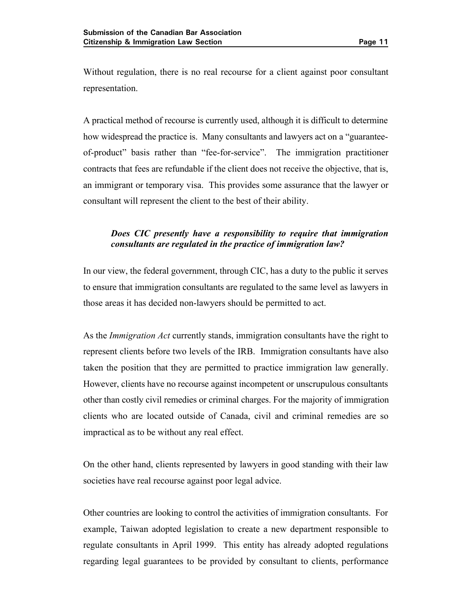Without regulation, there is no real recourse for a client against poor consultant representation.

A practical method of recourse is currently used, although it is difficult to determine how widespread the practice is. Many consultants and lawyers act on a "guaranteeof-product" basis rather than "fee-for-service". The immigration practitioner contracts that fees are refundable if the client does not receive the objective, that is, an immigrant or temporary visa. This provides some assurance that the lawyer or consultant will represent the client to the best of their ability.

#### *Does CIC presently have a responsibility to require that immigration consultants are regulated in the practice of immigration law?*

In our view, the federal government, through CIC, has a duty to the public it serves to ensure that immigration consultants are regulated to the same level as lawyers in those areas it has decided non-lawyers should be permitted to act.

As the *Immigration Act* currently stands, immigration consultants have the right to represent clients before two levels of the IRB. Immigration consultants have also taken the position that they are permitted to practice immigration law generally. However, clients have no recourse against incompetent or unscrupulous consultants other than costly civil remedies or criminal charges. For the majority of immigration clients who are located outside of Canada, civil and criminal remedies are so impractical as to be without any real effect.

On the other hand, clients represented by lawyers in good standing with their law societies have real recourse against poor legal advice.

Other countries are looking to control the activities of immigration consultants. For example, Taiwan adopted legislation to create a new department responsible to regulate consultants in April 1999. This entity has already adopted regulations regarding legal guarantees to be provided by consultant to clients, performance